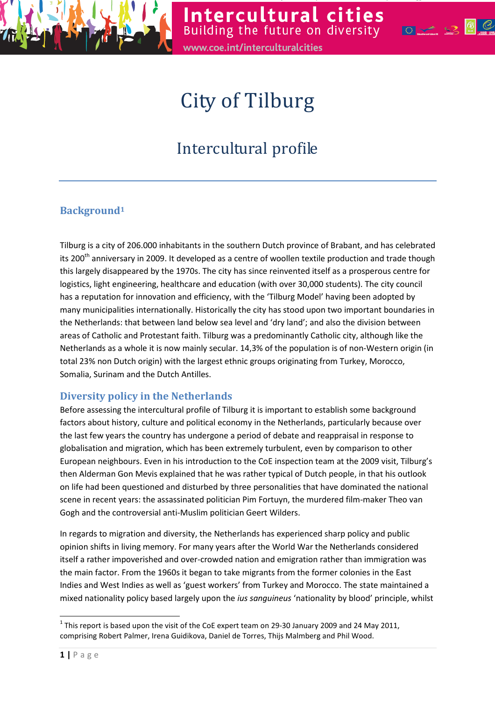



# City of Tilburg

## Intercultural profile

### Background<sup>1</sup>

Tilburg is a city of 206.000 inhabitants in the southern Dutch province of Brabant, and has celebrated its 200<sup>th</sup> anniversary in 2009. It developed as a centre of woollen textile production and trade though this largely disappeared by the 1970s. The city has since reinvented itself as a prosperous centre for logistics, light engineering, healthcare and education (with over 30,000 students). The city council has a reputation for innovation and efficiency, with the 'Tilburg Model' having been adopted by many municipalities internationally. Historically the city has stood upon two important boundaries in the Netherlands: that between land below sea level and 'dry land'; and also the division between areas of Catholic and Protestant faith. Tilburg was a predominantly Catholic city, although like the Netherlands as a whole it is now mainly secular. 14,3% of the population is of non-Western origin (in total 23% non Dutch origin) with the largest ethnic groups originating from Turkey, Morocco, Somalia, Surinam and the Dutch Antilles.

#### Diversity policy in the Netherlands

Before assessing the intercultural profile of Tilburg it is important to establish some background factors about history, culture and political economy in the Netherlands, particularly because over the last few years the country has undergone a period of debate and reappraisal in response to globalisation and migration, which has been extremely turbulent, even by comparison to other European neighbours. Even in his introduction to the CoE inspection team at the 2009 visit, Tilburg's then Alderman Gon Mevis explained that he was rather typical of Dutch people, in that his outlook on life had been questioned and disturbed by three personalities that have dominated the national scene in recent years: the assassinated politician Pim Fortuyn, the murdered film-maker Theo van Gogh and the controversial anti-Muslim politician Geert Wilders.

In regards to migration and diversity, the Netherlands has experienced sharp policy and public opinion shifts in living memory. For many years after the World War the Netherlands considered itself a rather impoverished and over-crowded nation and emigration rather than immigration was the main factor. From the 1960s it began to take migrants from the former colonies in the East Indies and West Indies as well as 'guest workers' from Turkey and Morocco. The state maintained a mixed nationality policy based largely upon the *ius sanguineus* 'nationality by blood' principle, whilst

 $\overline{\phantom{0}}$ 

<sup>&</sup>lt;sup>1</sup> This report is based upon the visit of the CoE expert team on 29-30 January 2009 and 24 May 2011, comprising Robert Palmer, Irena Guidikova, Daniel de Torres, Thijs Malmberg and Phil Wood.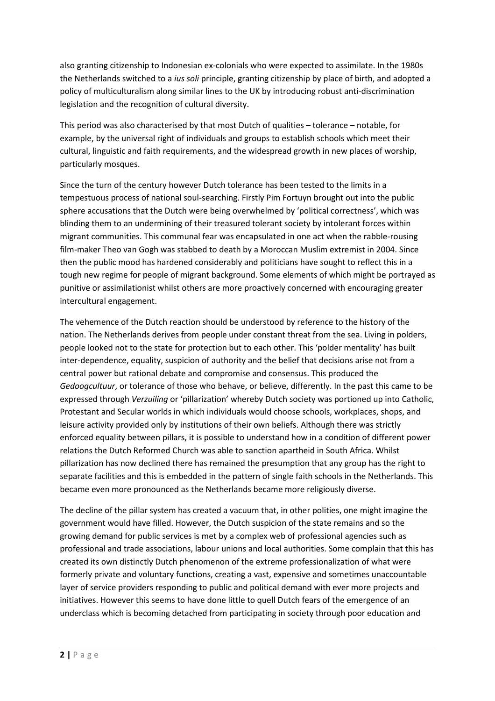also granting citizenship to Indonesian ex-colonials who were expected to assimilate. In the 1980s the Netherlands switched to a ius soli principle, granting citizenship by place of birth, and adopted a policy of multiculturalism along similar lines to the UK by introducing robust anti-discrimination legislation and the recognition of cultural diversity.

This period was also characterised by that most Dutch of qualities – tolerance – notable, for example, by the universal right of individuals and groups to establish schools which meet their cultural, linguistic and faith requirements, and the widespread growth in new places of worship, particularly mosques.

Since the turn of the century however Dutch tolerance has been tested to the limits in a tempestuous process of national soul-searching. Firstly Pim Fortuyn brought out into the public sphere accusations that the Dutch were being overwhelmed by 'political correctness', which was blinding them to an undermining of their treasured tolerant society by intolerant forces within migrant communities. This communal fear was encapsulated in one act when the rabble-rousing film-maker Theo van Gogh was stabbed to death by a Moroccan Muslim extremist in 2004. Since then the public mood has hardened considerably and politicians have sought to reflect this in a tough new regime for people of migrant background. Some elements of which might be portrayed as punitive or assimilationist whilst others are more proactively concerned with encouraging greater intercultural engagement.

The vehemence of the Dutch reaction should be understood by reference to the history of the nation. The Netherlands derives from people under constant threat from the sea. Living in polders, people looked not to the state for protection but to each other. This 'polder mentality' has built inter-dependence, equality, suspicion of authority and the belief that decisions arise not from a central power but rational debate and compromise and consensus. This produced the Gedoogcultuur, or tolerance of those who behave, or believe, differently. In the past this came to be expressed through Verzuiling or 'pillarization' whereby Dutch society was portioned up into Catholic, Protestant and Secular worlds in which individuals would choose schools, workplaces, shops, and leisure activity provided only by institutions of their own beliefs. Although there was strictly enforced equality between pillars, it is possible to understand how in a condition of different power relations the Dutch Reformed Church was able to sanction apartheid in South Africa. Whilst pillarization has now declined there has remained the presumption that any group has the right to separate facilities and this is embedded in the pattern of single faith schools in the Netherlands. This became even more pronounced as the Netherlands became more religiously diverse.

The decline of the pillar system has created a vacuum that, in other polities, one might imagine the government would have filled. However, the Dutch suspicion of the state remains and so the growing demand for public services is met by a complex web of professional agencies such as professional and trade associations, labour unions and local authorities. Some complain that this has created its own distinctly Dutch phenomenon of the extreme professionalization of what were formerly private and voluntary functions, creating a vast, expensive and sometimes unaccountable layer of service providers responding to public and political demand with ever more projects and initiatives. However this seems to have done little to quell Dutch fears of the emergence of an underclass which is becoming detached from participating in society through poor education and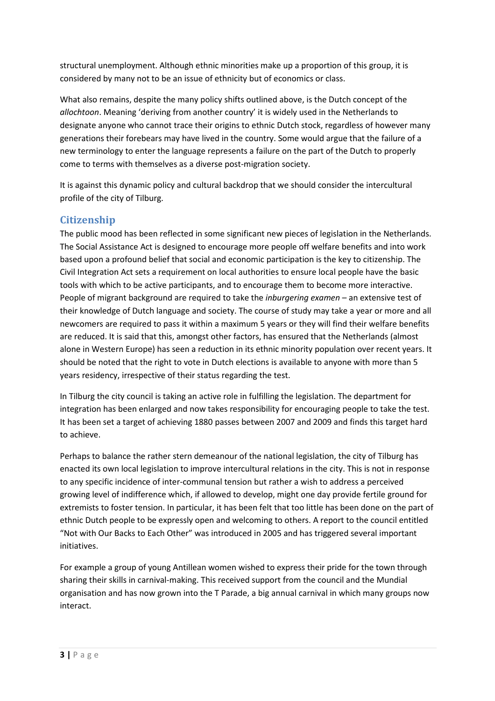structural unemployment. Although ethnic minorities make up a proportion of this group, it is considered by many not to be an issue of ethnicity but of economics or class.

What also remains, despite the many policy shifts outlined above, is the Dutch concept of the allochtoon. Meaning 'deriving from another country' it is widely used in the Netherlands to designate anyone who cannot trace their origins to ethnic Dutch stock, regardless of however many generations their forebears may have lived in the country. Some would argue that the failure of a new terminology to enter the language represents a failure on the part of the Dutch to properly come to terms with themselves as a diverse post-migration society.

It is against this dynamic policy and cultural backdrop that we should consider the intercultural profile of the city of Tilburg.

#### **Citizenship**

The public mood has been reflected in some significant new pieces of legislation in the Netherlands. The Social Assistance Act is designed to encourage more people off welfare benefits and into work based upon a profound belief that social and economic participation is the key to citizenship. The Civil Integration Act sets a requirement on local authorities to ensure local people have the basic tools with which to be active participants, and to encourage them to become more interactive. People of migrant background are required to take the *inburgering examen* – an extensive test of their knowledge of Dutch language and society. The course of study may take a year or more and all newcomers are required to pass it within a maximum 5 years or they will find their welfare benefits are reduced. It is said that this, amongst other factors, has ensured that the Netherlands (almost alone in Western Europe) has seen a reduction in its ethnic minority population over recent years. It should be noted that the right to vote in Dutch elections is available to anyone with more than 5 years residency, irrespective of their status regarding the test.

In Tilburg the city council is taking an active role in fulfilling the legislation. The department for integration has been enlarged and now takes responsibility for encouraging people to take the test. It has been set a target of achieving 1880 passes between 2007 and 2009 and finds this target hard to achieve.

Perhaps to balance the rather stern demeanour of the national legislation, the city of Tilburg has enacted its own local legislation to improve intercultural relations in the city. This is not in response to any specific incidence of inter-communal tension but rather a wish to address a perceived growing level of indifference which, if allowed to develop, might one day provide fertile ground for extremists to foster tension. In particular, it has been felt that too little has been done on the part of ethnic Dutch people to be expressly open and welcoming to others. A report to the council entitled "Not with Our Backs to Each Other" was introduced in 2005 and has triggered several important initiatives.

For example a group of young Antillean women wished to express their pride for the town through sharing their skills in carnival-making. This received support from the council and the Mundial organisation and has now grown into the T Parade, a big annual carnival in which many groups now interact.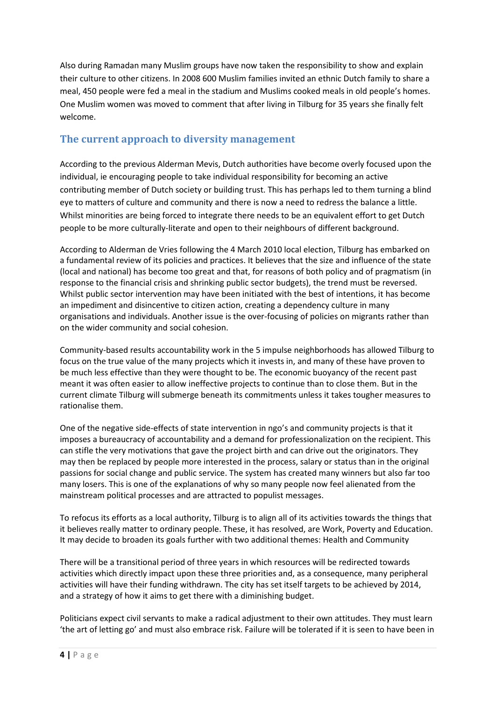Also during Ramadan many Muslim groups have now taken the responsibility to show and explain their culture to other citizens. In 2008 600 Muslim families invited an ethnic Dutch family to share a meal, 450 people were fed a meal in the stadium and Muslims cooked meals in old people's homes. One Muslim women was moved to comment that after living in Tilburg for 35 years she finally felt welcome.

#### The current approach to diversity management

According to the previous Alderman Mevis, Dutch authorities have become overly focused upon the individual, ie encouraging people to take individual responsibility for becoming an active contributing member of Dutch society or building trust. This has perhaps led to them turning a blind eye to matters of culture and community and there is now a need to redress the balance a little. Whilst minorities are being forced to integrate there needs to be an equivalent effort to get Dutch people to be more culturally-literate and open to their neighbours of different background.

According to Alderman de Vries following the 4 March 2010 local election, Tilburg has embarked on a fundamental review of its policies and practices. It believes that the size and influence of the state (local and national) has become too great and that, for reasons of both policy and of pragmatism (in response to the financial crisis and shrinking public sector budgets), the trend must be reversed. Whilst public sector intervention may have been initiated with the best of intentions, it has become an impediment and disincentive to citizen action, creating a dependency culture in many organisations and individuals. Another issue is the over-focusing of policies on migrants rather than on the wider community and social cohesion.

Community-based results accountability work in the 5 impulse neighborhoods has allowed Tilburg to focus on the true value of the many projects which it invests in, and many of these have proven to be much less effective than they were thought to be. The economic buoyancy of the recent past meant it was often easier to allow ineffective projects to continue than to close them. But in the current climate Tilburg will submerge beneath its commitments unless it takes tougher measures to rationalise them.

One of the negative side-effects of state intervention in ngo's and community projects is that it imposes a bureaucracy of accountability and a demand for professionalization on the recipient. This can stifle the very motivations that gave the project birth and can drive out the originators. They may then be replaced by people more interested in the process, salary or status than in the original passions for social change and public service. The system has created many winners but also far too many losers. This is one of the explanations of why so many people now feel alienated from the mainstream political processes and are attracted to populist messages.

To refocus its efforts as a local authority, Tilburg is to align all of its activities towards the things that it believes really matter to ordinary people. These, it has resolved, are Work, Poverty and Education. It may decide to broaden its goals further with two additional themes: Health and Community

There will be a transitional period of three years in which resources will be redirected towards activities which directly impact upon these three priorities and, as a consequence, many peripheral activities will have their funding withdrawn. The city has set itself targets to be achieved by 2014, and a strategy of how it aims to get there with a diminishing budget.

Politicians expect civil servants to make a radical adjustment to their own attitudes. They must learn 'the art of letting go' and must also embrace risk. Failure will be tolerated if it is seen to have been in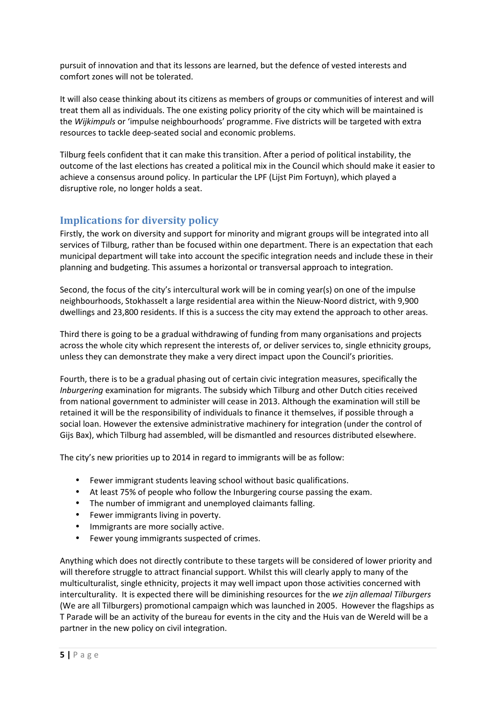pursuit of innovation and that its lessons are learned, but the defence of vested interests and comfort zones will not be tolerated.

It will also cease thinking about its citizens as members of groups or communities of interest and will treat them all as individuals. The one existing policy priority of the city which will be maintained is the Wijkimpuls or 'impulse neighbourhoods' programme. Five districts will be targeted with extra resources to tackle deep-seated social and economic problems.

Tilburg feels confident that it can make this transition. After a period of political instability, the outcome of the last elections has created a political mix in the Council which should make it easier to achieve a consensus around policy. In particular the LPF (Lijst Pim Fortuyn), which played a disruptive role, no longer holds a seat.

#### Implications for diversity policy

Firstly, the work on diversity and support for minority and migrant groups will be integrated into all services of Tilburg, rather than be focused within one department. There is an expectation that each municipal department will take into account the specific integration needs and include these in their planning and budgeting. This assumes a horizontal or transversal approach to integration.

Second, the focus of the city's intercultural work will be in coming year(s) on one of the impulse neighbourhoods, Stokhasselt a large residential area within the Nieuw-Noord district, with 9,900 dwellings and 23,800 residents. If this is a success the city may extend the approach to other areas.

Third there is going to be a gradual withdrawing of funding from many organisations and projects across the whole city which represent the interests of, or deliver services to, single ethnicity groups, unless they can demonstrate they make a very direct impact upon the Council's priorities.

Fourth, there is to be a gradual phasing out of certain civic integration measures, specifically the Inburgering examination for migrants. The subsidy which Tilburg and other Dutch cities received from national government to administer will cease in 2013. Although the examination will still be retained it will be the responsibility of individuals to finance it themselves, if possible through a social loan. However the extensive administrative machinery for integration (under the control of Gijs Bax), which Tilburg had assembled, will be dismantled and resources distributed elsewhere.

The city's new priorities up to 2014 in regard to immigrants will be as follow:

- Fewer immigrant students leaving school without basic qualifications.
- At least 75% of people who follow the Inburgering course passing the exam.
- The number of immigrant and unemployed claimants falling.
- Fewer immigrants living in poverty.
- Immigrants are more socially active.
- Fewer young immigrants suspected of crimes.

Anything which does not directly contribute to these targets will be considered of lower priority and will therefore struggle to attract financial support. Whilst this will clearly apply to many of the multiculturalist, single ethnicity, projects it may well impact upon those activities concerned with interculturality. It is expected there will be diminishing resources for the we zijn allemaal Tilburgers (We are all Tilburgers) promotional campaign which was launched in 2005. However the flagships as T Parade will be an activity of the bureau for events in the city and the Huis van de Wereld will be a partner in the new policy on civil integration.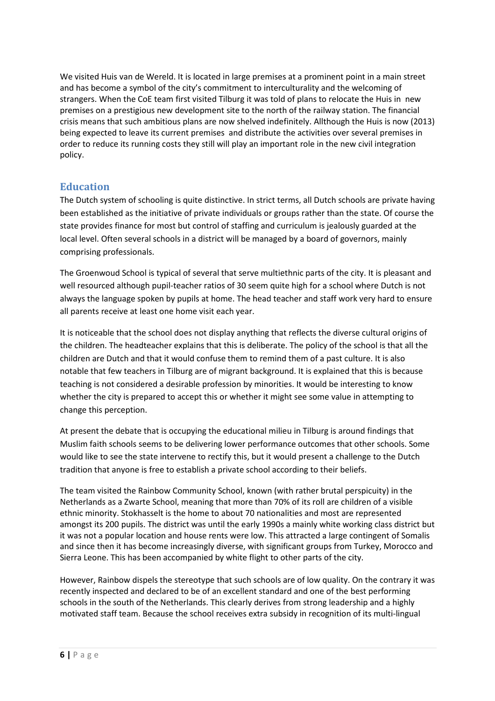We visited Huis van de Wereld. It is located in large premises at a prominent point in a main street and has become a symbol of the city's commitment to interculturality and the welcoming of strangers. When the CoE team first visited Tilburg it was told of plans to relocate the Huis in new premises on a prestigious new development site to the north of the railway station. The financial crisis means that such ambitious plans are now shelved indefinitely. Allthough the Huis is now (2013) being expected to leave its current premises and distribute the activities over several premises in order to reduce its running costs they still will play an important role in the new civil integration policy.

#### Education

The Dutch system of schooling is quite distinctive. In strict terms, all Dutch schools are private having been established as the initiative of private individuals or groups rather than the state. Of course the state provides finance for most but control of staffing and curriculum is jealously guarded at the local level. Often several schools in a district will be managed by a board of governors, mainly comprising professionals.

The Groenwoud School is typical of several that serve multiethnic parts of the city. It is pleasant and well resourced although pupil-teacher ratios of 30 seem quite high for a school where Dutch is not always the language spoken by pupils at home. The head teacher and staff work very hard to ensure all parents receive at least one home visit each year.

It is noticeable that the school does not display anything that reflects the diverse cultural origins of the children. The headteacher explains that this is deliberate. The policy of the school is that all the children are Dutch and that it would confuse them to remind them of a past culture. It is also notable that few teachers in Tilburg are of migrant background. It is explained that this is because teaching is not considered a desirable profession by minorities. It would be interesting to know whether the city is prepared to accept this or whether it might see some value in attempting to change this perception.

At present the debate that is occupying the educational milieu in Tilburg is around findings that Muslim faith schools seems to be delivering lower performance outcomes that other schools. Some would like to see the state intervene to rectify this, but it would present a challenge to the Dutch tradition that anyone is free to establish a private school according to their beliefs.

The team visited the Rainbow Community School, known (with rather brutal perspicuity) in the Netherlands as a Zwarte School, meaning that more than 70% of its roll are children of a visible ethnic minority. Stokhasselt is the home to about 70 nationalities and most are represented amongst its 200 pupils. The district was until the early 1990s a mainly white working class district but it was not a popular location and house rents were low. This attracted a large contingent of Somalis and since then it has become increasingly diverse, with significant groups from Turkey, Morocco and Sierra Leone. This has been accompanied by white flight to other parts of the city.

However, Rainbow dispels the stereotype that such schools are of low quality. On the contrary it was recently inspected and declared to be of an excellent standard and one of the best performing schools in the south of the Netherlands. This clearly derives from strong leadership and a highly motivated staff team. Because the school receives extra subsidy in recognition of its multi-lingual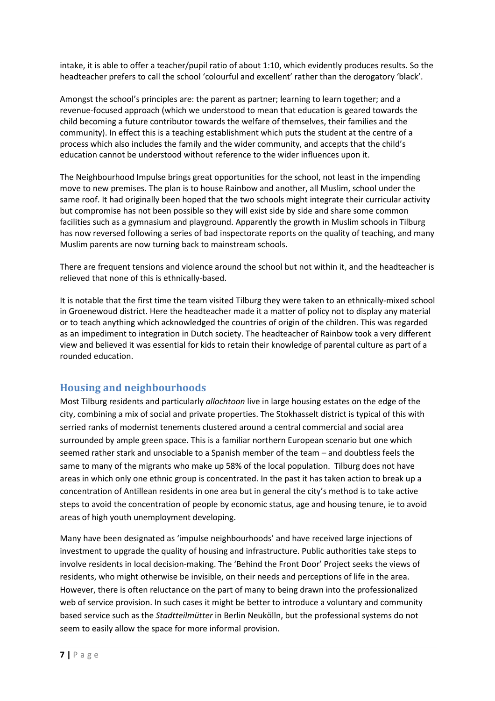intake, it is able to offer a teacher/pupil ratio of about 1:10, which evidently produces results. So the headteacher prefers to call the school 'colourful and excellent' rather than the derogatory 'black'.

Amongst the school's principles are: the parent as partner; learning to learn together; and a revenue-focused approach (which we understood to mean that education is geared towards the child becoming a future contributor towards the welfare of themselves, their families and the community). In effect this is a teaching establishment which puts the student at the centre of a process which also includes the family and the wider community, and accepts that the child's education cannot be understood without reference to the wider influences upon it.

The Neighbourhood Impulse brings great opportunities for the school, not least in the impending move to new premises. The plan is to house Rainbow and another, all Muslim, school under the same roof. It had originally been hoped that the two schools might integrate their curricular activity but compromise has not been possible so they will exist side by side and share some common facilities such as a gymnasium and playground. Apparently the growth in Muslim schools in Tilburg has now reversed following a series of bad inspectorate reports on the quality of teaching, and many Muslim parents are now turning back to mainstream schools.

There are frequent tensions and violence around the school but not within it, and the headteacher is relieved that none of this is ethnically-based.

It is notable that the first time the team visited Tilburg they were taken to an ethnically-mixed school in Groenewoud district. Here the headteacher made it a matter of policy not to display any material or to teach anything which acknowledged the countries of origin of the children. This was regarded as an impediment to integration in Dutch society. The headteacher of Rainbow took a very different view and believed it was essential for kids to retain their knowledge of parental culture as part of a rounded education.

#### Housing and neighbourhoods

Most Tilburg residents and particularly allochtoon live in large housing estates on the edge of the city, combining a mix of social and private properties. The Stokhasselt district is typical of this with serried ranks of modernist tenements clustered around a central commercial and social area surrounded by ample green space. This is a familiar northern European scenario but one which seemed rather stark and unsociable to a Spanish member of the team – and doubtless feels the same to many of the migrants who make up 58% of the local population. Tilburg does not have areas in which only one ethnic group is concentrated. In the past it has taken action to break up a concentration of Antillean residents in one area but in general the city's method is to take active steps to avoid the concentration of people by economic status, age and housing tenure, ie to avoid areas of high youth unemployment developing.

Many have been designated as 'impulse neighbourhoods' and have received large injections of investment to upgrade the quality of housing and infrastructure. Public authorities take steps to involve residents in local decision-making. The 'Behind the Front Door' Project seeks the views of residents, who might otherwise be invisible, on their needs and perceptions of life in the area. However, there is often reluctance on the part of many to being drawn into the professionalized web of service provision. In such cases it might be better to introduce a voluntary and community based service such as the Stadtteilmütter in Berlin Neukölln, but the professional systems do not seem to easily allow the space for more informal provision.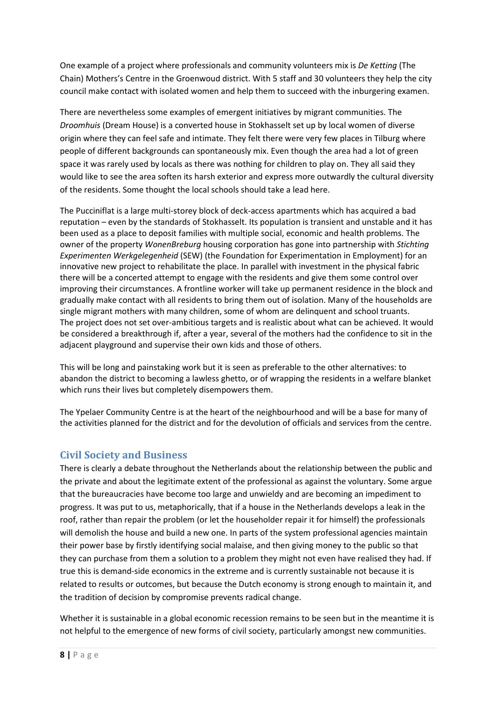One example of a project where professionals and community volunteers mix is De Ketting (The Chain) Mothers's Centre in the Groenwoud district. With 5 staff and 30 volunteers they help the city council make contact with isolated women and help them to succeed with the inburgering examen.

There are nevertheless some examples of emergent initiatives by migrant communities. The Droomhuis (Dream House) is a converted house in Stokhasselt set up by local women of diverse origin where they can feel safe and intimate. They felt there were very few places in Tilburg where people of different backgrounds can spontaneously mix. Even though the area had a lot of green space it was rarely used by locals as there was nothing for children to play on. They all said they would like to see the area soften its harsh exterior and express more outwardly the cultural diversity of the residents. Some thought the local schools should take a lead here.

The Pucciniflat is a large multi-storey block of deck-access apartments which has acquired a bad reputation – even by the standards of Stokhasselt. Its population is transient and unstable and it has been used as a place to deposit families with multiple social, economic and health problems. The owner of the property WonenBreburg housing corporation has gone into partnership with Stichting Experimenten Werkgelegenheid (SEW) (the Foundation for Experimentation in Employment) for an innovative new project to rehabilitate the place. In parallel with investment in the physical fabric there will be a concerted attempt to engage with the residents and give them some control over improving their circumstances. A frontline worker will take up permanent residence in the block and gradually make contact with all residents to bring them out of isolation. Many of the households are single migrant mothers with many children, some of whom are delinquent and school truants. The project does not set over-ambitious targets and is realistic about what can be achieved. It would be considered a breakthrough if, after a year, several of the mothers had the confidence to sit in the adjacent playground and supervise their own kids and those of others.

This will be long and painstaking work but it is seen as preferable to the other alternatives: to abandon the district to becoming a lawless ghetto, or of wrapping the residents in a welfare blanket which runs their lives but completely disempowers them.

The Ypelaer Community Centre is at the heart of the neighbourhood and will be a base for many of the activities planned for the district and for the devolution of officials and services from the centre.

#### Civil Society and Business

There is clearly a debate throughout the Netherlands about the relationship between the public and the private and about the legitimate extent of the professional as against the voluntary. Some argue that the bureaucracies have become too large and unwieldy and are becoming an impediment to progress. It was put to us, metaphorically, that if a house in the Netherlands develops a leak in the roof, rather than repair the problem (or let the householder repair it for himself) the professionals will demolish the house and build a new one. In parts of the system professional agencies maintain their power base by firstly identifying social malaise, and then giving money to the public so that they can purchase from them a solution to a problem they might not even have realised they had. If true this is demand-side economics in the extreme and is currently sustainable not because it is related to results or outcomes, but because the Dutch economy is strong enough to maintain it, and the tradition of decision by compromise prevents radical change.

Whether it is sustainable in a global economic recession remains to be seen but in the meantime it is not helpful to the emergence of new forms of civil society, particularly amongst new communities.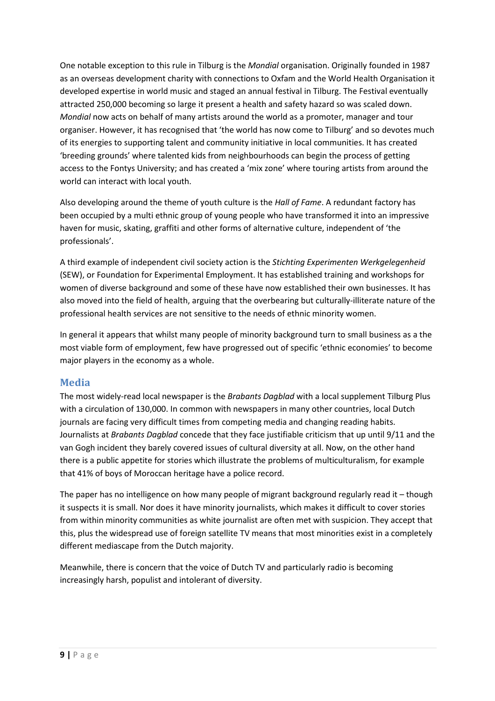One notable exception to this rule in Tilburg is the Mondial organisation. Originally founded in 1987 as an overseas development charity with connections to Oxfam and the World Health Organisation it developed expertise in world music and staged an annual festival in Tilburg. The Festival eventually attracted 250,000 becoming so large it present a health and safety hazard so was scaled down. Mondial now acts on behalf of many artists around the world as a promoter, manager and tour organiser. However, it has recognised that 'the world has now come to Tilburg' and so devotes much of its energies to supporting talent and community initiative in local communities. It has created 'breeding grounds' where talented kids from neighbourhoods can begin the process of getting access to the Fontys University; and has created a 'mix zone' where touring artists from around the world can interact with local youth.

Also developing around the theme of youth culture is the Hall of Fame. A redundant factory has been occupied by a multi ethnic group of young people who have transformed it into an impressive haven for music, skating, graffiti and other forms of alternative culture, independent of 'the professionals'.

A third example of independent civil society action is the Stichting Experimenten Werkgelegenheid (SEW), or Foundation for Experimental Employment. It has established training and workshops for women of diverse background and some of these have now established their own businesses. It has also moved into the field of health, arguing that the overbearing but culturally-illiterate nature of the professional health services are not sensitive to the needs of ethnic minority women.

In general it appears that whilst many people of minority background turn to small business as a the most viable form of employment, few have progressed out of specific 'ethnic economies' to become major players in the economy as a whole.

#### Media

The most widely-read local newspaper is the Brabants Dagblad with a local supplement Tilburg Plus with a circulation of 130,000. In common with newspapers in many other countries, local Dutch journals are facing very difficult times from competing media and changing reading habits. Journalists at Brabants Dagblad concede that they face justifiable criticism that up until 9/11 and the van Gogh incident they barely covered issues of cultural diversity at all. Now, on the other hand there is a public appetite for stories which illustrate the problems of multiculturalism, for example that 41% of boys of Moroccan heritage have a police record.

The paper has no intelligence on how many people of migrant background regularly read it – though it suspects it is small. Nor does it have minority journalists, which makes it difficult to cover stories from within minority communities as white journalist are often met with suspicion. They accept that this, plus the widespread use of foreign satellite TV means that most minorities exist in a completely different mediascape from the Dutch majority.

Meanwhile, there is concern that the voice of Dutch TV and particularly radio is becoming increasingly harsh, populist and intolerant of diversity.